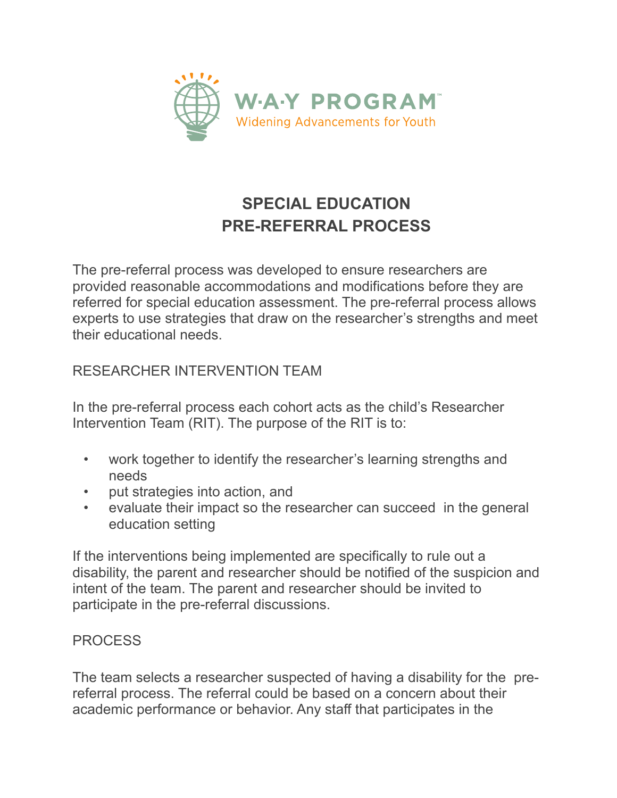

## **SPECIAL EDUCATION PRE-REFERRAL PROCESS**

The pre-referral process was developed to ensure researchers are provided reasonable accommodations and modifications before they are referred for special education assessment. The pre-referral process allows experts to use strategies that draw on the researcher's strengths and meet their educational needs.

RESEARCHER INTERVENTION TEAM

In the pre-referral process each cohort acts as the child's Researcher Intervention Team (RIT). The purpose of the RIT is to:

- work together to identify the researcher's learning strengths and needs
- put strategies into action, and
- evaluate their impact so the researcher can succeed in the general education setting

If the interventions being implemented are specifically to rule out a disability, the parent and researcher should be notified of the suspicion and intent of the team. The parent and researcher should be invited to participate in the pre-referral discussions.

## PROCESS

The team selects a researcher suspected of having a disability for the prereferral process. The referral could be based on a concern about their academic performance or behavior. Any staff that participates in the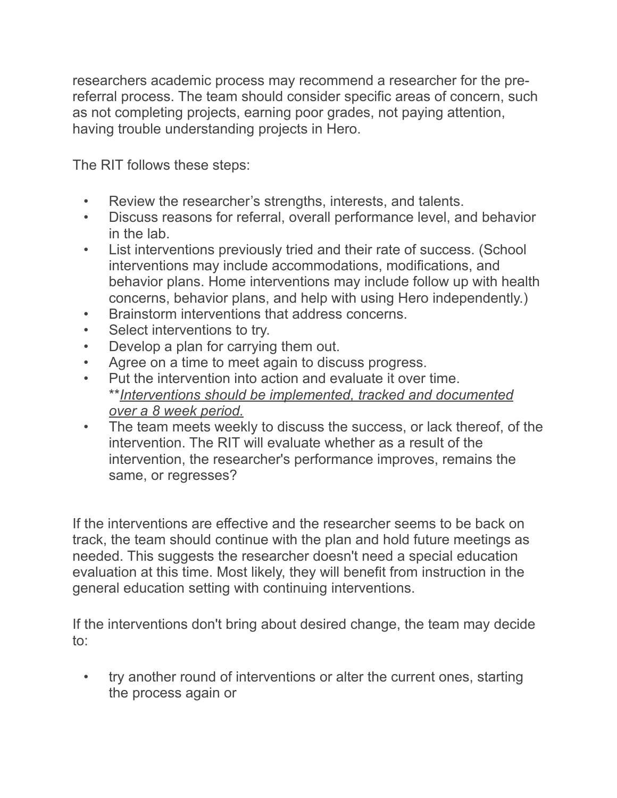researchers academic process may recommend a researcher for the prereferral process. The team should consider specific areas of concern, such as not completing projects, earning poor grades, not paying attention, having trouble understanding projects in Hero.

The RIT follows these steps:

- Review the researcher's strengths, interests, and talents.
- Discuss reasons for referral, overall performance level, and behavior in the lab.
- List interventions previously tried and their rate of success. (School interventions may include accommodations, modifications, and behavior plans. Home interventions may include follow up with health concerns, behavior plans, and help with using Hero independently.)
- Brainstorm interventions that address concerns.
- Select interventions to try.
- Develop a plan for carrying them out.
- Agree on a time to meet again to discuss progress.
- Put the intervention into action and evaluate it over time. \*\**Interventions should be implemented, tracked and documented over a 8 week period.*
- The team meets weekly to discuss the success, or lack thereof, of the intervention. The RIT will evaluate whether as a result of the intervention, the researcher's performance improves, remains the same, or regresses?

If the interventions are effective and the researcher seems to be back on track, the team should continue with the plan and hold future meetings as needed. This suggests the researcher doesn't need a special education evaluation at this time. Most likely, they will benefit from instruction in the general education setting with continuing interventions.

If the interventions don't bring about desired change, the team may decide to:

 • try another round of interventions or alter the current ones, starting the process again or